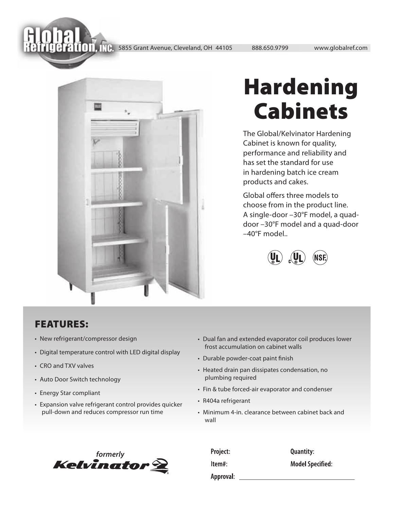58 Grand Avenue, Cleveland, OH 44105<br>1988.650.9799 www.globalref.com



## Hardening Cabinets

The Global/Kelvinator Hardening Cabinet is known for quality, performance and reliability and has set the standard for use in hardening batch ice cream products and cakes.

Global offers three models to choose from in the product line. A single-door –30°F model, a quaddoor –30°F model and a quad-door –40°F model..



## FEATURES:

- New refrigerant/compressor design
- Digital temperature control with LED digital display
- CRO and TXV valves
- Auto Door Switch technology
- Energy Star compliant
- Expansion valve refrigerant control provides quicker pull-down and reduces compressor run time
- Dual fan and extended evaporator coil produces lower frost accumulation on cabinet walls
- Durable powder-coat paint finish
- Heated drain pan dissipates condensation, no plumbing required
- Fin & tube forced-air evaporator and condenser
- R404a refrigerant
- Minimum 4-in. clearance between cabinet back and wall



| Project:  | <b>Quantity:</b>        |
|-----------|-------------------------|
| ltem#:    | <b>Model Specified:</b> |
| Approval: |                         |